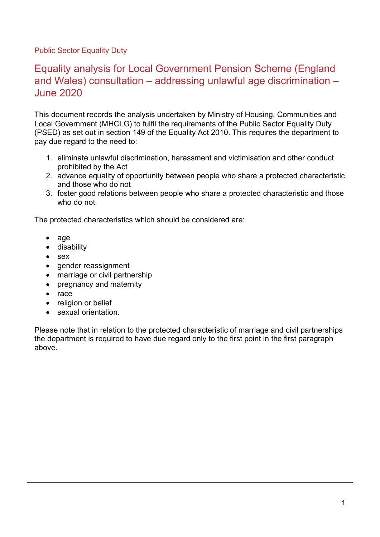Public Sector Equality Duty

# Equality analysis for Local Government Pension Scheme (England and Wales) consultation – addressing unlawful age discrimination – June 2020

This document records the analysis undertaken by Ministry of Housing, Communities and Local Government (MHCLG) to fulfil the requirements of the Public Sector Equality Duty (PSED) as set out in section 149 of the Equality Act 2010. This requires the department to pay due regard to the need to:

- 1. eliminate unlawful discrimination, harassment and victimisation and other conduct prohibited by the Act
- 2. advance equality of opportunity between people who share a protected characteristic and those who do not
- 3. foster good relations between people who share a protected characteristic and those who do not.

The protected characteristics which should be considered are:

- age
- disability
- sex
- gender reassignment
- marriage or civil partnership
- pregnancy and maternity
- race
- religion or belief
- sexual orientation.

Please note that in relation to the protected characteristic of marriage and civil partnerships the department is required to have due regard only to the first point in the first paragraph above.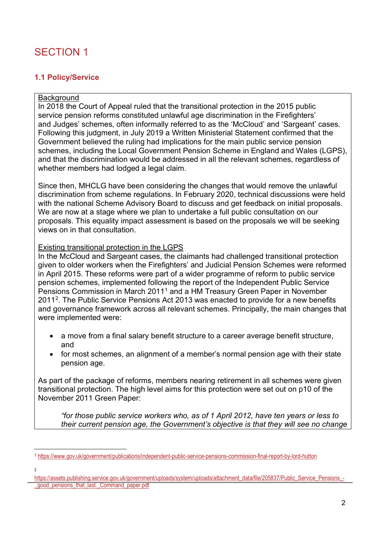# SECTION 1

## **1.1 Policy/Service**

### **Background**

In 2018 the Court of Appeal ruled that the transitional protection in the 2015 public service pension reforms constituted unlawful age discrimination in the Firefighters' and Judges' schemes, often informally referred to as the 'McCloud' and 'Sargeant' cases. Following this judgment, in July 2019 a Written Ministerial Statement confirmed that the Government believed the ruling had implications for the main public service pension schemes, including the Local Government Pension Scheme in England and Wales (LGPS), and that the discrimination would be addressed in all the relevant schemes, regardless of whether members had lodged a legal claim.

Since then, MHCLG have been considering the changes that would remove the unlawful discrimination from scheme regulations. In February 2020, technical discussions were held with the national Scheme Advisory Board to discuss and get feedback on initial proposals. We are now at a stage where we plan to undertake a full public consultation on our proposals. This equality impact assessment is based on the proposals we will be seeking views on in that consultation.

#### Existing transitional protection in the LGPS

In the McCloud and Sargeant cases, the claimants had challenged transitional protection given to older workers when the Firefighters' and Judicial Pension Schemes were reformed in April 2015. These reforms were part of a wider programme of reform to public service pension schemes, implemented following the report of the Independent Public Service Pensions Commission in March 2011[1](#page-1-0) and a HM Treasury Green Paper in November 2011[2](#page-1-1). The Public Service Pensions Act 2013 was enacted to provide for a new benefits and governance framework across all relevant schemes. Principally, the main changes that were implemented were:

- a move from a final salary benefit structure to a career average benefit structure, and
- for most schemes, an alignment of a member's normal pension age with their state pension age.

As part of the package of reforms, members nearing retirement in all schemes were given transitional protection. The high level aims for this protection were set out on p10 of the November 2011 Green Paper:

*"for those public service workers who, as of 1 April 2012, have ten years or less to their current pension age, the Government's objective is that they will see no change* 

<span id="page-1-0"></span><sup>1</sup> <https://www.gov.uk/government/publications/independent-public-service-pensions-commission-final-report-by-lord-hutton>

<sup>2</sup>

<span id="page-1-1"></span>[https://assets.publishing.service.gov.uk/government/uploads/system/uploads/attachment\\_data/file/205837/Public\\_Service\\_Pensions\\_](https://assets.publishing.service.gov.uk/government/uploads/system/uploads/attachment_data/file/205837/Public_Service_Pensions_-_good_pensions_that_last._Command_paper.pdf) good pensions that last. Command paper.pdf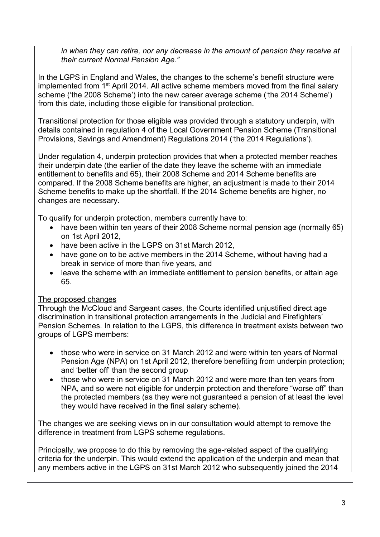*in when they can retire, nor any decrease in the amount of pension they receive at their current Normal Pension Age."*

In the LGPS in England and Wales, the changes to the scheme's benefit structure were implemented from 1<sup>st</sup> April 2014. All active scheme members moved from the final salary scheme ('the 2008 Scheme') into the new career average scheme ('the 2014 Scheme') from this date, including those eligible for transitional protection.

Transitional protection for those eligible was provided through a statutory underpin, with details contained in regulation 4 of the Local Government Pension Scheme (Transitional Provisions, Savings and Amendment) Regulations 2014 ('the 2014 Regulations').

Under regulation 4, underpin protection provides that when a protected member reaches their underpin date (the earlier of the date they leave the scheme with an immediate entitlement to benefits and 65), their 2008 Scheme and 2014 Scheme benefits are compared. If the 2008 Scheme benefits are higher, an adjustment is made to their 2014 Scheme benefits to make up the shortfall. If the 2014 Scheme benefits are higher, no changes are necessary.

To qualify for underpin protection, members currently have to:

- have been within ten years of their 2008 Scheme normal pension age (normally 65) on 1st April 2012,
- have been active in the LGPS on 31st March 2012.
- have gone on to be active members in the 2014 Scheme, without having had a break in service of more than five years, and
- leave the scheme with an immediate entitlement to pension benefits, or attain age 65.

## The proposed changes

Through the McCloud and Sargeant cases, the Courts identified unjustified direct age discrimination in transitional protection arrangements in the Judicial and Firefighters' Pension Schemes. In relation to the LGPS, this difference in treatment exists between two groups of LGPS members:

- those who were in service on 31 March 2012 and were within ten years of Normal Pension Age (NPA) on 1st April 2012, therefore benefiting from underpin protection; and 'better off' than the second group
- those who were in service on 31 March 2012 and were more than ten years from NPA, and so were not eligible for underpin protection and therefore "worse off" than the protected members (as they were not guaranteed a pension of at least the level they would have received in the final salary scheme).

The changes we are seeking views on in our consultation would attempt to remove the difference in treatment from LGPS scheme regulations.

Principally, we propose to do this by removing the age-related aspect of the qualifying criteria for the underpin. This would extend the application of the underpin and mean that any members active in the LGPS on 31st March 2012 who subsequently joined the 2014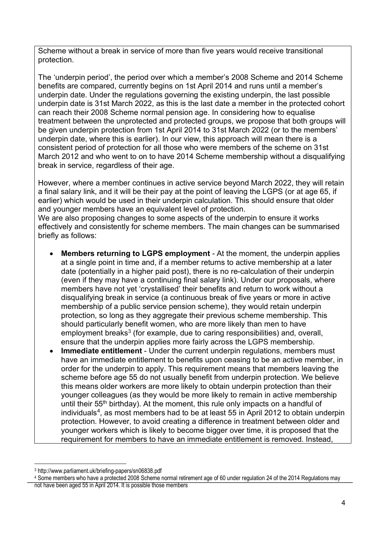Scheme without a break in service of more than five years would receive transitional protection.

The 'underpin period', the period over which a member's 2008 Scheme and 2014 Scheme benefits are compared, currently begins on 1st April 2014 and runs until a member's underpin date. Under the regulations governing the existing underpin, the last possible underpin date is 31st March 2022, as this is the last date a member in the protected cohort can reach their 2008 Scheme normal pension age. In considering how to equalise treatment between the unprotected and protected groups, we propose that both groups will be given underpin protection from 1st April 2014 to 31st March 2022 (or to the members' underpin date, where this is earlier). In our view, this approach will mean there is a consistent period of protection for all those who were members of the scheme on 31st March 2012 and who went to on to have 2014 Scheme membership without a disqualifying break in service, regardless of their age.

However, where a member continues in active service beyond March 2022, they will retain a final salary link, and it will be their pay at the point of leaving the LGPS (or at age 65, if earlier) which would be used in their underpin calculation. This should ensure that older and younger members have an equivalent level of protection.

We are also proposing changes to some aspects of the underpin to ensure it works effectively and consistently for scheme members. The main changes can be summarised briefly as follows:

- **Members returning to LGPS employment**  At the moment, the underpin applies at a single point in time and, if a member returns to active membership at a later date (potentially in a higher paid post), there is no re-calculation of their underpin (even if they may have a continuing final salary link). Under our proposals, where members have not yet 'crystallised' their benefits and return to work without a disqualifying break in service (a continuous break of five years or more in active membership of a public service pension scheme), they would retain underpin protection, so long as they aggregate their previous scheme membership. This should particularly benefit women, who are more likely than men to have employment breaks<sup>[3](#page-3-0)</sup> (for example, due to caring responsibilities) and, overall, ensure that the underpin applies more fairly across the LGPS membership.
- **Immediate entitlement**  Under the current underpin regulations, members must have an immediate entitlement to benefits upon ceasing to be an active member, in order for the underpin to apply. This requirement means that members leaving the scheme before age 55 do not usually benefit from underpin protection. We believe this means older workers are more likely to obtain underpin protection than their younger colleagues (as they would be more likely to remain in active membership until their  $55<sup>th</sup>$  birthday). At the moment, this rule only impacts on a handful of individuals<sup>4</sup>, as most members had to be at least 55 in April 2012 to obtain underpin protection. However, to avoid creating a difference in treatment between older and younger workers which is likely to become bigger over time, it is proposed that the requirement for members to have an immediate entitlement is removed. Instead,

<span id="page-3-0"></span><sup>3</sup> http://www.parliament.uk/briefing-papers/sn06838.pdf

<span id="page-3-1"></span><sup>4</sup> Some members who have a protected 2008 Scheme normal retirement age of 60 under regulation 24 of the 2014 Regulations may

not have been aged 55 in April 2014. It is possible those members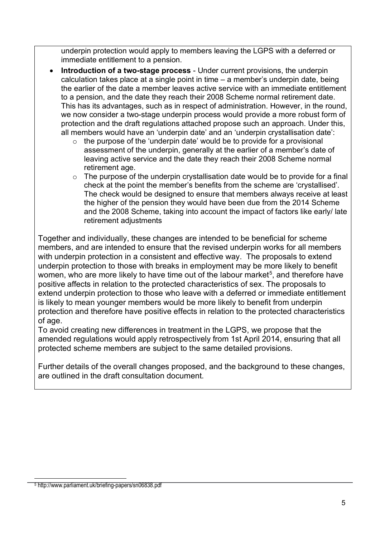underpin protection would apply to members leaving the LGPS with a deferred or immediate entitlement to a pension.

- **Introduction of a two-stage process** Under current provisions, the underpin calculation takes place at a single point in time – a member's underpin date, being the earlier of the date a member leaves active service with an immediate entitlement to a pension, and the date they reach their 2008 Scheme normal retirement date. This has its advantages, such as in respect of administration. However, in the round, we now consider a two-stage underpin process would provide a more robust form of protection and the draft regulations attached propose such an approach. Under this, all members would have an 'underpin date' and an 'underpin crystallisation date':
	- o the purpose of the 'underpin date' would be to provide for a provisional assessment of the underpin, generally at the earlier of a member's date of leaving active service and the date they reach their 2008 Scheme normal retirement age.
	- $\circ$  The purpose of the underpin crystallisation date would be to provide for a final check at the point the member's benefits from the scheme are 'crystallised'. The check would be designed to ensure that members always receive at least the higher of the pension they would have been due from the 2014 Scheme and the 2008 Scheme, taking into account the impact of factors like early/ late retirement adjustments

Together and individually, these changes are intended to be beneficial for scheme members, and are intended to ensure that the revised underpin works for all members with underpin protection in a consistent and effective way. The proposals to extend underpin protection to those with breaks in employment may be more likely to benefit women, who are more likely to have time out of the labour market $^5$  $^5$ , and therefore have positive affects in relation to the protected characteristics of sex. The proposals to extend underpin protection to those who leave with a deferred or immediate entitlement is likely to mean younger members would be more likely to benefit from underpin protection and therefore have positive effects in relation to the protected characteristics of age.

To avoid creating new differences in treatment in the LGPS, we propose that the amended regulations would apply retrospectively from 1st April 2014, ensuring that all protected scheme members are subject to the same detailed provisions.

<span id="page-4-0"></span>Further details of the overall changes proposed, and the background to these changes, are outlined in the draft consultation document.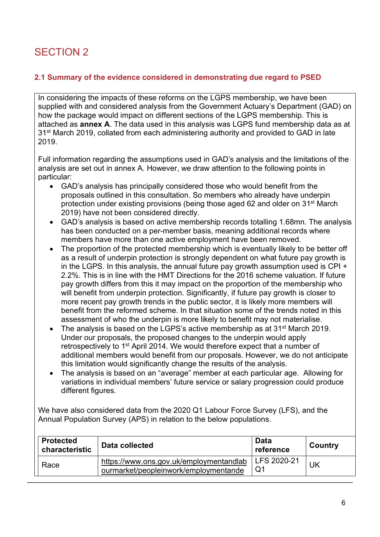# SECTION 2

## **2.1 Summary of the evidence considered in demonstrating due regard to PSED**

In considering the impacts of these reforms on the LGPS membership, we have been supplied with and considered analysis from the Government Actuary's Department (GAD) on how the package would impact on different sections of the LGPS membership. This is attached as **annex A**. The data used in this analysis was LGPS fund membership data as at 31<sup>st</sup> March 2019, collated from each administering authority and provided to GAD in late 2019.

Full information regarding the assumptions used in GAD's analysis and the limitations of the analysis are set out in annex A. However, we draw attention to the following points in particular:

- GAD's analysis has principally considered those who would benefit from the proposals outlined in this consultation. So members who already have underpin protection under existing provisions (being those aged 62 and older on 31st March 2019) have not been considered directly.
- GAD's analysis is based on active membership records totalling 1.68mn. The analysis has been conducted on a per-member basis, meaning additional records where members have more than one active employment have been removed.
- The proportion of the protected membership which is eventually likely to be better off as a result of underpin protection is strongly dependent on what future pay growth is in the LGPS. In this analysis, the annual future pay growth assumption used is CPI + 2.2%. This is in line with the HMT Directions for the 2016 scheme valuation. If future pay growth differs from this it may impact on the proportion of the membership who will benefit from underpin protection. Significantly, if future pay growth is closer to more recent pay growth trends in the public sector, it is likely more members will benefit from the reformed scheme. In that situation some of the trends noted in this assessment of who the underpin is more likely to benefit may not materialise.
- The analysis is based on the LGPS's active membership as at 31<sup>st</sup> March 2019. Under our proposals, the proposed changes to the underpin would apply retrospectively to 1st April 2014. We would therefore expect that a number of additional members would benefit from our proposals. However, we do not anticipate this limitation would significantly change the results of the analysis.
- The analysis is based on an "average" member at each particular age. Allowing for variations in individual members' future service or salary progression could produce different figures.

We have also considered data from the 2020 Q1 Labour Force Survey (LFS), and the Annual Population Survey (APS) in relation to the below populations.

| <b>Protected</b><br>characteristic | Data collected                                                                   | Data<br>reference | Country |
|------------------------------------|----------------------------------------------------------------------------------|-------------------|---------|
| Race                               | https://www.ons.gov.uk/employmentandlab<br>ourmarket/peopleinwork/employmentande | LFS 2020-21<br>Q1 | JK      |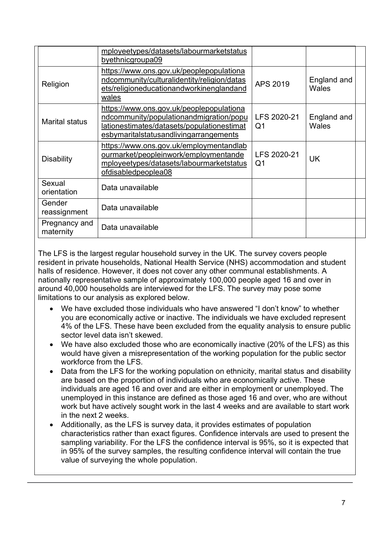|                            | mployeetypes/datasets/labourmarketstatus<br>byethnicgroupa09                                                                                                                |                               |                             |  |
|----------------------------|-----------------------------------------------------------------------------------------------------------------------------------------------------------------------------|-------------------------------|-----------------------------|--|
| Religion                   | https://www.ons.gov.uk/peoplepopulationa<br>ndcommunity/culturalidentity/religion/datas<br>ets/religioneducationandworkinenglandand<br>wales                                | APS 2019                      | England and<br>Wales        |  |
| <b>Marital status</b>      | https://www.ons.gov.uk/peoplepopulationa<br>ndcommunity/populationandmigration/popu<br>lationestimates/datasets/populationestimat<br>esbymaritalstatusandlivingarrangements | LFS 2020-21<br>Q1             | England and<br><b>Wales</b> |  |
| <b>Disability</b>          | https://www.ons.gov.uk/employmentandlab<br>ourmarket/peopleinwork/employmentande<br>mployeetypes/datasets/labourmarketstatus<br>ofdisabledpeoplea08                         | LFS 2020-21<br>Q <sub>1</sub> | <b>UK</b>                   |  |
| Sexual<br>orientation      | Data unavailable                                                                                                                                                            |                               |                             |  |
| Gender<br>reassignment     | Data unavailable                                                                                                                                                            |                               |                             |  |
| Pregnancy and<br>maternity | Data unavailable                                                                                                                                                            |                               |                             |  |

The LFS is the largest regular household survey in the UK. The survey covers people resident in private households, National Health Service (NHS) accommodation and student halls of residence. However, it does not cover any other communal establishments. A nationally representative sample of approximately 100,000 people aged 16 and over in around 40,000 households are interviewed for the LFS. The survey may pose some limitations to our analysis as explored below.

- We have excluded those individuals who have answered "I don't know" to whether you are economically active or inactive. The individuals we have excluded represent 4% of the LFS. These have been excluded from the equality analysis to ensure public sector level data isn't skewed.
- We have also excluded those who are economically inactive (20% of the LFS) as this would have given a misrepresentation of the working population for the public sector workforce from the LFS.
- Data from the LFS for the working population on ethnicity, marital status and disability are based on the proportion of individuals who are economically active. These individuals are aged 16 and over and are either in employment or unemployed. The unemployed in this instance are defined as those aged 16 and over, who are without work but have actively sought work in the last 4 weeks and are available to start work in the next 2 weeks.
- Additionally, as the LFS is survey data, it provides estimates of population characteristics rather than exact figures. Confidence intervals are used to present the sampling variability. For the LFS the confidence interval is 95%, so it is expected that in 95% of the survey samples, the resulting confidence interval will contain the true value of surveying the whole population.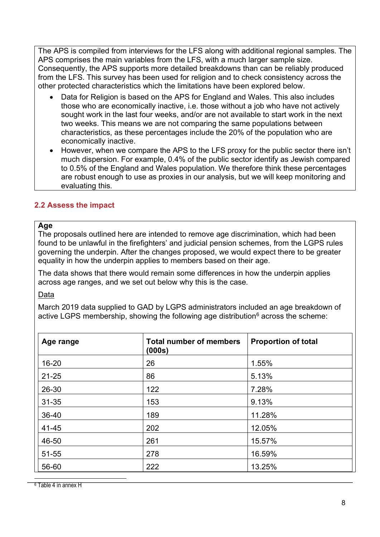The APS is compiled from interviews for the LFS along with additional regional samples. The APS comprises the main variables from the LFS, with a much larger sample size. Consequently, the APS supports more detailed breakdowns than can be reliably produced from the LFS. This survey has been used for religion and to check consistency across the other protected characteristics which the limitations have been explored below.

- Data for Religion is based on the APS for England and Wales. This also includes those who are economically inactive, i.e. those without a job who have not actively sought work in the last four weeks, and/or are not available to start work in the next two weeks. This means we are not comparing the same populations between characteristics, as these percentages include the 20% of the population who are economically inactive.
- However, when we compare the APS to the LFS proxy for the public sector there isn't much dispersion. For example, 0.4% of the public sector identify as Jewish compared to 0.5% of the England and Wales population. We therefore think these percentages are robust enough to use as proxies in our analysis, but we will keep monitoring and evaluating this.

## **2.2 Assess the impact**

#### **Age**

The proposals outlined here are intended to remove age discrimination, which had been found to be unlawful in the firefighters' and judicial pension schemes, from the LGPS rules governing the underpin. After the changes proposed, we would expect there to be greater equality in how the underpin applies to members based on their age.

The data shows that there would remain some differences in how the underpin applies across age ranges, and we set out below why this is the case.

#### Data

March 2019 data supplied to GAD by LGPS administrators included an age breakdown of active LGPS membership, showing the following age distribution<sup>[6](#page-7-0)</sup> across the scheme:

<span id="page-7-0"></span>

| Age range | <b>Total number of members</b><br>(000s) | <b>Proportion of total</b> |
|-----------|------------------------------------------|----------------------------|
| $16 - 20$ | 26                                       | 1.55%                      |
| $21 - 25$ | 86                                       | 5.13%                      |
| 26-30     | 122                                      | 7.28%                      |
| $31 - 35$ | 153                                      | 9.13%                      |
| 36-40     | 189                                      | 11.28%                     |
| 41-45     | 202                                      | 12.05%                     |
| 46-50     | 261                                      | 15.57%                     |
| 51-55     | 278                                      | 16.59%                     |
| 56-60     | 222                                      | 13.25%                     |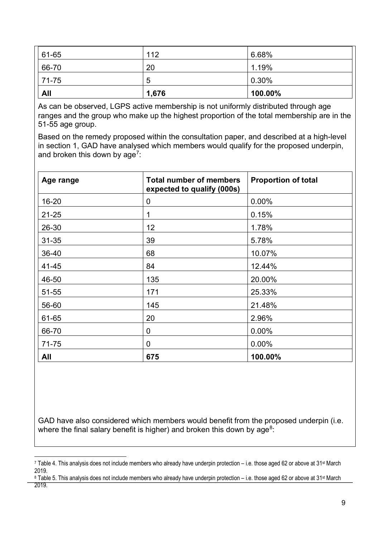| 61-65      | 112   | 6.68%   |
|------------|-------|---------|
| 66-70      | 20    | 1.19%   |
| $ 71-75$   | 5     | 0.30%   |
| <b>All</b> | 1,676 | 100.00% |

As can be observed, LGPS active membership is not uniformly distributed through age ranges and the group who make up the highest proportion of the total membership are in the 51-55 age group.

Based on the remedy proposed within the consultation paper, and described at a high-level in section 1, GAD have analysed which members would qualify for the proposed underpin, and broken this down by age<sup>7</sup>:

| Age range | <b>Total number of members</b><br>expected to qualify (000s) | <b>Proportion of total</b> |
|-----------|--------------------------------------------------------------|----------------------------|
| 16-20     | $\boldsymbol{0}$                                             | 0.00%                      |
| $21 - 25$ | 1                                                            | 0.15%                      |
| 26-30     | 12                                                           | 1.78%                      |
| $31 - 35$ | 39                                                           | 5.78%                      |
| 36-40     | 68                                                           | 10.07%                     |
| 41-45     | 84                                                           | 12.44%                     |
| 46-50     | 135                                                          | 20.00%                     |
| 51-55     | 171                                                          | 25.33%                     |
| 56-60     | 145                                                          | 21.48%                     |
| 61-65     | 20                                                           | 2.96%                      |
| 66-70     | $\mathbf 0$                                                  | 0.00%                      |
| 71-75     | $\mathbf 0$                                                  | 0.00%                      |
| All       | 675                                                          | 100.00%                    |

GAD have also considered which members would benefit from the proposed underpin (i.e. where the final salary benefit is higher) and broken this down by  $age<sup>8</sup>$ :

<span id="page-8-1"></span>8 Table 5. This analysis does not include members who already have underpin protection – i.e. those aged 62 or above at 31<sup>st</sup> March 2019.

<span id="page-8-0"></span><sup>7</sup> Table 4. This analysis does not include members who already have underpin protection – i.e. those aged 62 or above at 31st March 2019.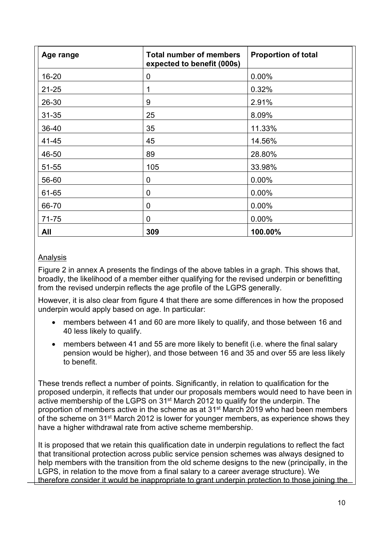| Age range | <b>Total number of members</b><br>expected to benefit (000s) | <b>Proportion of total</b> |
|-----------|--------------------------------------------------------------|----------------------------|
| 16-20     | 0                                                            | 0.00%                      |
| $21 - 25$ | 1                                                            | 0.32%                      |
| 26-30     | 9                                                            | 2.91%                      |
| $31 - 35$ | 25                                                           | 8.09%                      |
| 36-40     | 35                                                           | 11.33%                     |
| 41-45     | 45                                                           | 14.56%                     |
| 46-50     | 89                                                           | 28.80%                     |
| 51-55     | 105                                                          | 33.98%                     |
| 56-60     | 0                                                            | 0.00%                      |
| 61-65     | 0                                                            | 0.00%                      |
| 66-70     | $\mathbf 0$                                                  | $0.00\%$                   |
| 71-75     | $\mathbf 0$                                                  | 0.00%                      |
| All       | 309                                                          | 100.00%                    |

## Analysis

Figure 2 in annex A presents the findings of the above tables in a graph. This shows that, broadly, the likelihood of a member either qualifying for the revised underpin or benefitting from the revised underpin reflects the age profile of the LGPS generally.

However, it is also clear from figure 4 that there are some differences in how the proposed underpin would apply based on age. In particular:

- members between 41 and 60 are more likely to qualify, and those between 16 and 40 less likely to qualify.
- members between 41 and 55 are more likely to benefit (i.e. where the final salary pension would be higher), and those between 16 and 35 and over 55 are less likely to benefit.

These trends reflect a number of points. Significantly, in relation to qualification for the proposed underpin, it reflects that under our proposals members would need to have been in active membership of the LGPS on 31<sup>st</sup> March 2012 to qualify for the underpin. The proportion of members active in the scheme as at 31st March 2019 who had been members of the scheme on 31st March 2012 is lower for younger members, as experience shows they have a higher withdrawal rate from active scheme membership.

It is proposed that we retain this qualification date in underpin regulations to reflect the fact that transitional protection across public service pension schemes was always designed to help members with the transition from the old scheme designs to the new (principally, in the LGPS, in relation to the move from a final salary to a career average structure). We therefore consider it would be inappropriate to grant underpin protection to those joining the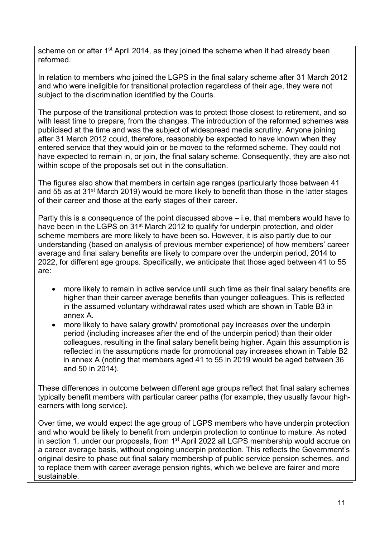scheme on or after 1<sup>st</sup> April 2014, as they joined the scheme when it had already been reformed.

In relation to members who joined the LGPS in the final salary scheme after 31 March 2012 and who were ineligible for transitional protection regardless of their age, they were not subject to the discrimination identified by the Courts.

The purpose of the transitional protection was to protect those closest to retirement, and so with least time to prepare, from the changes. The introduction of the reformed schemes was publicised at the time and was the subject of widespread media scrutiny. Anyone joining after 31 March 2012 could, therefore, reasonably be expected to have known when they entered service that they would join or be moved to the reformed scheme. They could not have expected to remain in, or join, the final salary scheme. Consequently, they are also not within scope of the proposals set out in the consultation.

The figures also show that members in certain age ranges (particularly those between 41 and 55 as at 31<sup>st</sup> March 2019) would be more likely to benefit than those in the latter stages of their career and those at the early stages of their career.

Partly this is a consequence of the point discussed above – i.e. that members would have to have been in the LGPS on 31<sup>st</sup> March 2012 to qualify for underpin protection, and older scheme members are more likely to have been so. However, it is also partly due to our understanding (based on analysis of previous member experience) of how members' career average and final salary benefits are likely to compare over the underpin period, 2014 to 2022, for different age groups. Specifically, we anticipate that those aged between 41 to 55 are:

- more likely to remain in active service until such time as their final salary benefits are higher than their career average benefits than younger colleagues. This is reflected in the assumed voluntary withdrawal rates used which are shown in Table B3 in annex A.
- more likely to have salary growth/ promotional pay increases over the underpin period (including increases after the end of the underpin period) than their older colleagues, resulting in the final salary benefit being higher. Again this assumption is reflected in the assumptions made for promotional pay increases shown in Table B2 in annex A (noting that members aged 41 to 55 in 2019 would be aged between 36 and 50 in 2014).

These differences in outcome between different age groups reflect that final salary schemes typically benefit members with particular career paths (for example, they usually favour highearners with long service).

Over time, we would expect the age group of LGPS members who have underpin protection and who would be likely to benefit from underpin protection to continue to mature. As noted in section 1, under our proposals, from 1<sup>st</sup> April 2022 all LGPS membership would accrue on a career average basis, without ongoing underpin protection. This reflects the Government's original desire to phase out final salary membership of public service pension schemes, and to replace them with career average pension rights, which we believe are fairer and more sustainable.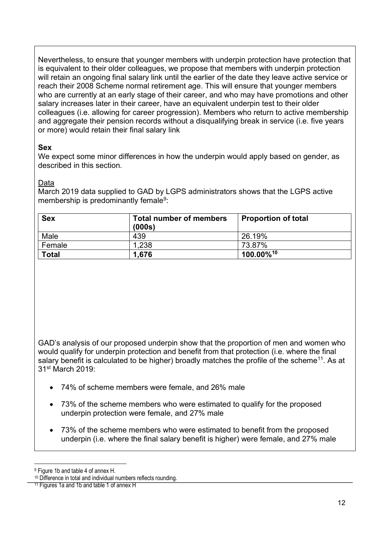Nevertheless, to ensure that younger members with underpin protection have protection that is equivalent to their older colleagues, we propose that members with underpin protection will retain an ongoing final salary link until the earlier of the date they leave active service or reach their 2008 Scheme normal retirement age. This will ensure that younger members who are currently at an early stage of their career, and who may have promotions and other salary increases later in their career, have an equivalent underpin test to their older colleagues (i.e. allowing for career progression). Members who return to active membership and aggregate their pension records without a disqualifying break in service (i.e. five years or more) would retain their final salary link

#### **Sex**

We expect some minor differences in how the underpin would apply based on gender, as described in this section.

#### Data

March 2019 data supplied to GAD by LGPS administrators shows that the LGPS active membership is predominantly female<sup>9</sup>:

| <b>Sex</b>   | <b>Total number of members</b><br>(000s) | <b>Proportion of total</b> |
|--------------|------------------------------------------|----------------------------|
| Male         | 439                                      | 26.19%                     |
| Female       | 1,238                                    | 73.87%                     |
| <b>Total</b> | 1.676                                    | $100.00\%$ <sup>10</sup>   |

GAD's analysis of our proposed underpin show that the proportion of men and women who would qualify for underpin protection and benefit from that protection (i.e. where the final salary benefit is calculated to be higher) broadly matches the profile of the scheme<sup>[11](#page-11-2)</sup>. As at 31st March 2019:

- 74% of scheme members were female, and 26% male
- 73% of the scheme members who were estimated to qualify for the proposed underpin protection were female, and 27% male
- 73% of the scheme members who were estimated to benefit from the proposed underpin (i.e. where the final salary benefit is higher) were female, and 27% male

<span id="page-11-0"></span><sup>9</sup> Figure 1b and table 4 of annex H.

<span id="page-11-1"></span><sup>10</sup> Difference in total and individual numbers reflects rounding.

<span id="page-11-2"></span><sup>&</sup>lt;sup>11</sup> Figures 1a and 1b and table 1 of annex H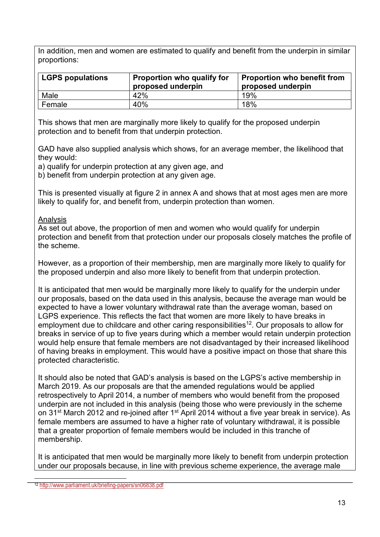In addition, men and women are estimated to qualify and benefit from the underpin in similar proportions:

| <b>LGPS populations</b> | Proportion who qualify for<br>proposed underpin | <b>Proportion who benefit from</b><br>proposed underpin |
|-------------------------|-------------------------------------------------|---------------------------------------------------------|
| Male                    | 42%                                             | 19%                                                     |
| Female                  | 40%                                             | 18%                                                     |

This shows that men are marginally more likely to qualify for the proposed underpin protection and to benefit from that underpin protection.

GAD have also supplied analysis which shows, for an average member, the likelihood that they would:

a) qualify for underpin protection at any given age, and

b) benefit from underpin protection at any given age.

This is presented visually at figure 2 in annex A and shows that at most ages men are more likely to qualify for, and benefit from, underpin protection than women.

#### Analysis

As set out above, the proportion of men and women who would qualify for underpin protection and benefit from that protection under our proposals closely matches the profile of the scheme.

However, as a proportion of their membership, men are marginally more likely to qualify for the proposed underpin and also more likely to benefit from that underpin protection.

It is anticipated that men would be marginally more likely to qualify for the underpin under our proposals, based on the data used in this analysis, because the average man would be expected to have a lower voluntary withdrawal rate than the average woman, based on LGPS experience. This reflects the fact that women are more likely to have breaks in employment due to childcare and other caring responsibilities<sup>[12](#page-12-0)</sup>. Our proposals to allow for breaks in service of up to five years during which a member would retain underpin protection would help ensure that female members are not disadvantaged by their increased likelihood of having breaks in employment. This would have a positive impact on those that share this protected characteristic.

It should also be noted that GAD's analysis is based on the LGPS's active membership in March 2019. As our proposals are that the amended regulations would be applied retrospectively to April 2014, a number of members who would benefit from the proposed underpin are not included in this analysis (being those who were previously in the scheme on 31<sup>st</sup> March 2012 and re-joined after 1<sup>st</sup> April 2014 without a five year break in service). As female members are assumed to have a higher rate of voluntary withdrawal, it is possible that a greater proportion of female members would be included in this tranche of membership.

It is anticipated that men would be marginally more likely to benefit from underpin protection under our proposals because, in line with previous scheme experience, the average male

<span id="page-12-0"></span><sup>12</sup> <http://www.parliament.uk/briefing-papers/sn06838.pdf>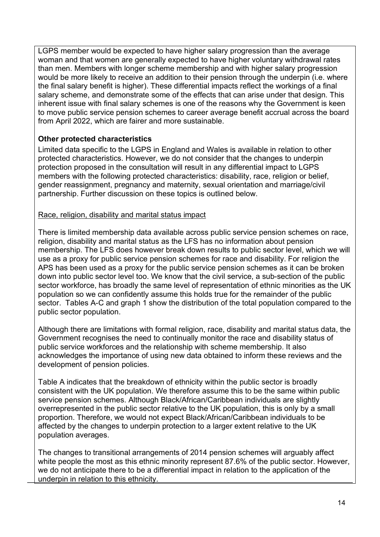LGPS member would be expected to have higher salary progression than the average woman and that women are generally expected to have higher voluntary withdrawal rates than men. Members with longer scheme membership and with higher salary progression would be more likely to receive an addition to their pension through the underpin (i.e. where the final salary benefit is higher). These differential impacts reflect the workings of a final salary scheme, and demonstrate some of the effects that can arise under that design. This inherent issue with final salary schemes is one of the reasons why the Government is keen to move public service pension schemes to career average benefit accrual across the board from April 2022, which are fairer and more sustainable.

## **Other protected characteristics**

Limited data specific to the LGPS in England and Wales is available in relation to other protected characteristics. However, we do not consider that the changes to underpin protection proposed in the consultation will result in any differential impact to LGPS members with the following protected characteristics: disability, race, religion or belief, gender reassignment, pregnancy and maternity, sexual orientation and marriage/civil partnership. Further discussion on these topics is outlined below.

## Race, religion, disability and marital status impact

There is limited membership data available across public service pension schemes on race, religion, disability and marital status as the LFS has no information about pension membership. The LFS does however break down results to public sector level, which we will use as a proxy for public service pension schemes for race and disability. For religion the APS has been used as a proxy for the public service pension schemes as it can be broken down into public sector level too. We know that the civil service, a sub-section of the public sector workforce, has broadly the same level of representation of ethnic minorities as the UK population so we can confidently assume this holds true for the remainder of the public sector. Tables A-C and graph 1 show the distribution of the total population compared to the public sector population.

Although there are limitations with formal religion, race, disability and marital status data, the Government recognises the need to continually monitor the race and disability status of public service workforces and the relationship with scheme membership. It also acknowledges the importance of using new data obtained to inform these reviews and the development of pension policies.

Table A indicates that the breakdown of ethnicity within the public sector is broadly consistent with the UK population. We therefore assume this to be the same within public service pension schemes. Although Black/African/Caribbean individuals are slightly overrepresented in the public sector relative to the UK population, this is only by a small proportion. Therefore, we would not expect Black/African/Caribbean individuals to be affected by the changes to underpin protection to a larger extent relative to the UK population averages.

The changes to transitional arrangements of 2014 pension schemes will arguably affect white people the most as this ethnic minority represent 87.6% of the public sector. However, we do not anticipate there to be a differential impact in relation to the application of the underpin in relation to this ethnicity.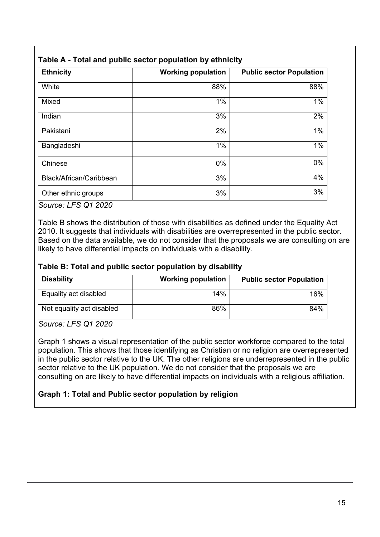| <b>Ethnicity</b>        | <b>Working population</b> | <b>Public sector Population</b> |
|-------------------------|---------------------------|---------------------------------|
| White                   | 88%                       | 88%                             |
| Mixed                   | $1\%$                     | 1%                              |
| Indian                  | 3%                        | 2%                              |
| Pakistani               | 2%                        | 1%                              |
| Bangladeshi             | $1\%$                     | 1%                              |
| Chinese                 | 0%                        | 0%                              |
| Black/African/Caribbean | 3%                        | 4%                              |
| Other ethnic groups     | 3%                        | 3%                              |

## **Table A - Total and public sector population by ethnicity**

*Source: LFS Q1 2020*

Table B shows the distribution of those with disabilities as defined under the Equality Act 2010. It suggests that individuals with disabilities are overrepresented in the public sector. Based on the data available, we do not consider that the proposals we are consulting on are likely to have differential impacts on individuals with a disability.

## **Table B: Total and public sector population by disability**

| <b>Disability</b>         | <b>Working population</b> | <b>Public sector Population</b> |
|---------------------------|---------------------------|---------------------------------|
| Equality act disabled     | 14%                       | 16%                             |
| Not equality act disabled | 86%                       | 84%                             |

*Source: LFS Q1 2020*

Graph 1 shows a visual representation of the public sector workforce compared to the total population. This shows that those identifying as Christian or no religion are overrepresented in the public sector relative to the UK. The other religions are underrepresented in the public sector relative to the UK population. We do not consider that the proposals we are consulting on are likely to have differential impacts on individuals with a religious affiliation.

## **Graph 1: Total and Public sector population by religion**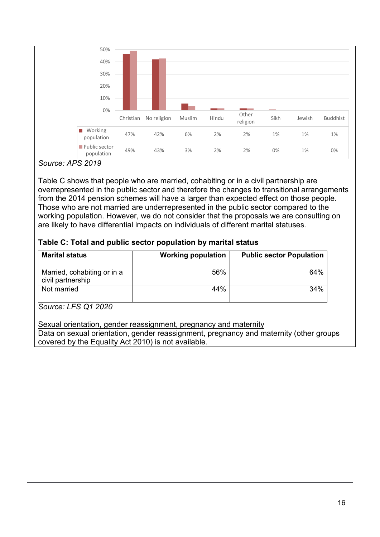

#### *Source: APS 2019*

Table C shows that people who are married, cohabiting or in a civil partnership are overrepresented in the public sector and therefore the changes to transitional arrangements from the 2014 pension schemes will have a larger than expected effect on those people. Those who are not married are underrepresented in the public sector compared to the working population. However, we do not consider that the proposals we are consulting on are likely to have differential impacts on individuals of different marital statuses.

#### **Table C: Total and public sector population by marital status**

| <b>Marital status</b>                            | <b>Working population</b> | <b>Public sector Population</b> |
|--------------------------------------------------|---------------------------|---------------------------------|
| Married, cohabiting or in a<br>civil partnership | 56%                       | 64%                             |
| Not married                                      | 44%                       | 34%                             |

#### *Source: LFS Q1 2020*

#### Sexual orientation, gender reassignment, pregnancy and maternity

Data on sexual orientation, gender reassignment, pregnancy and maternity (other groups covered by the Equality Act 2010) is not available.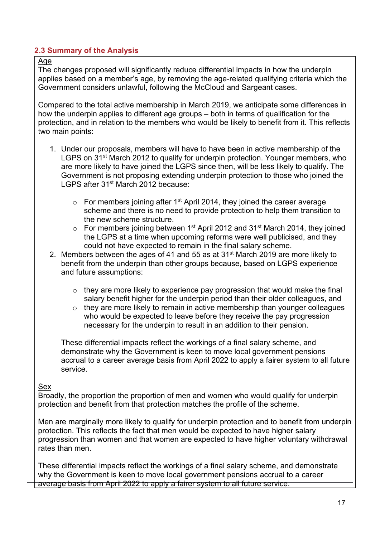## **2.3 Summary of the Analysis**

#### Age

The changes proposed will significantly reduce differential impacts in how the underpin applies based on a member's age, by removing the age-related qualifying criteria which the Government considers unlawful, following the McCloud and Sargeant cases.

Compared to the total active membership in March 2019, we anticipate some differences in how the underpin applies to different age groups – both in terms of qualification for the protection, and in relation to the members who would be likely to benefit from it. This reflects two main points:

- 1. Under our proposals, members will have to have been in active membership of the LGPS on 31<sup>st</sup> March 2012 to qualify for underpin protection. Younger members, who are more likely to have joined the LGPS since then, will be less likely to qualify. The Government is not proposing extending underpin protection to those who joined the LGPS after 31st March 2012 because:
	- $\circ$  For members joining after 1<sup>st</sup> April 2014, they joined the career average scheme and there is no need to provide protection to help them transition to the new scheme structure.
	- $\circ$  For members joining between 1<sup>st</sup> April 2012 and 31<sup>st</sup> March 2014, they joined the LGPS at a time when upcoming reforms were well publicised, and they could not have expected to remain in the final salary scheme.
- 2. Members between the ages of 41 and 55 as at 31<sup>st</sup> March 2019 are more likely to benefit from the underpin than other groups because, based on LGPS experience and future assumptions:
	- $\circ$  they are more likely to experience pay progression that would make the final salary benefit higher for the underpin period than their older colleagues, and
	- o they are more likely to remain in active membership than younger colleagues who would be expected to leave before they receive the pay progression necessary for the underpin to result in an addition to their pension.

These differential impacts reflect the workings of a final salary scheme, and demonstrate why the Government is keen to move local government pensions accrual to a career average basis from April 2022 to apply a fairer system to all future service.

#### Sex

Broadly, the proportion the proportion of men and women who would qualify for underpin protection and benefit from that protection matches the profile of the scheme.

Men are marginally more likely to qualify for underpin protection and to benefit from underpin protection. This reflects the fact that men would be expected to have higher salary progression than women and that women are expected to have higher voluntary withdrawal rates than men.

These differential impacts reflect the workings of a final salary scheme, and demonstrate why the Government is keen to move local government pensions accrual to a career average basis from April 2022 to apply a fairer system to all future service.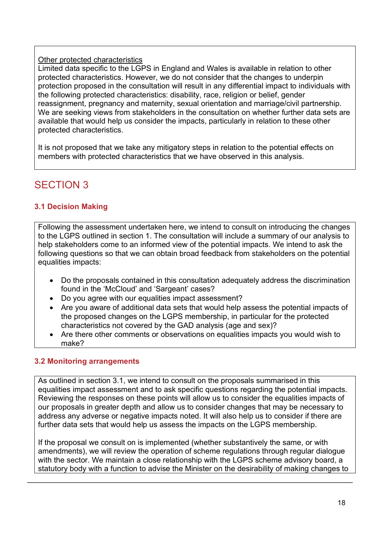### Other protected characteristics

Limited data specific to the LGPS in England and Wales is available in relation to other protected characteristics. However, we do not consider that the changes to underpin protection proposed in the consultation will result in any differential impact to individuals with the following protected characteristics: disability, race, religion or belief, gender reassignment, pregnancy and maternity, sexual orientation and marriage/civil partnership. We are seeking views from stakeholders in the consultation on whether further data sets are available that would help us consider the impacts, particularly in relation to these other protected characteristics.

It is not proposed that we take any mitigatory steps in relation to the potential effects on members with protected characteristics that we have observed in this analysis.

# SECTION 3

## **3.1 Decision Making**

Following the assessment undertaken here, we intend to consult on introducing the changes to the LGPS outlined in section 1. The consultation will include a summary of our analysis to help stakeholders come to an informed view of the potential impacts. We intend to ask the following questions so that we can obtain broad feedback from stakeholders on the potential equalities impacts:

- Do the proposals contained in this consultation adequately address the discrimination found in the 'McCloud' and 'Sargeant' cases?
- Do you agree with our equalities impact assessment?
- Are you aware of additional data sets that would help assess the potential impacts of the proposed changes on the LGPS membership, in particular for the protected characteristics not covered by the GAD analysis (age and sex)?
- Are there other comments or observations on equalities impacts you would wish to make?

## **3.2 Monitoring arrangements**

As outlined in section 3.1, we intend to consult on the proposals summarised in this equalities impact assessment and to ask specific questions regarding the potential impacts. Reviewing the responses on these points will allow us to consider the equalities impacts of our proposals in greater depth and allow us to consider changes that may be necessary to address any adverse or negative impacts noted. It will also help us to consider if there are further data sets that would help us assess the impacts on the LGPS membership.

If the proposal we consult on is implemented (whether substantively the same, or with amendments), we will review the operation of scheme regulations through regular dialogue with the sector. We maintain a close relationship with the LGPS scheme advisory board, a statutory body with a function to advise the Minister on the desirability of making changes to